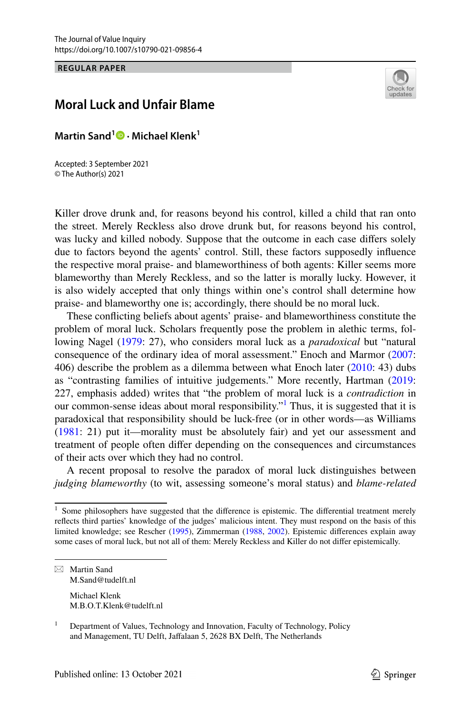**REGULAR PAPER**

# Check fo update

# **Moral Luck and Unfair Blame**

**Martin Sand<sup>1</sup> · Michael Klenk1**

Accepted: 3 September 2021 © The Author(s) 2021

Killer drove drunk and, for reasons beyond his control, killed a child that ran onto the street. Merely Reckless also drove drunk but, for reasons beyond his control, was lucky and killed nobody. Suppose that the outcome in each case difers solely due to factors beyond the agents' control. Still, these factors supposedly infuence the respective moral praise- and blameworthiness of both agents: Killer seems more blameworthy than Merely Reckless, and so the latter is morally lucky. However, it is also widely accepted that only things within one's control shall determine how praise- and blameworthy one is; accordingly, there should be no moral luck.

These conficting beliefs about agents' praise- and blameworthiness constitute the problem of moral luck. Scholars frequently pose the problem in alethic terms, following Nagel ([1979:](#page-15-0) 27), who considers moral luck as a *paradoxical* but "natural consequence of the ordinary idea of moral assessment." Enoch and Marmor ([2007:](#page-15-1) 406) describe the problem as a dilemma between what Enoch later [\(2010](#page-15-2): 43) dubs as "contrasting families of intuitive judgements." More recently, Hartman ([2019:](#page-15-3) 227, emphasis added) writes that "the problem of moral luck is a *contradiction* in our common-sense ideas about moral responsibility."<sup>[1](#page-0-0)</sup> Thus, it is suggested that it is paradoxical that responsibility should be luck-free (or in other words—as Williams [\(1981](#page-16-0): 21) put it—morality must be absolutely fair) and yet our assessment and treatment of people often difer depending on the consequences and circumstances of their acts over which they had no control.

A recent proposal to resolve the paradox of moral luck distinguishes between *judging blameworthy* (to wit, assessing someone's moral status) and *blame-related* 

 $\boxtimes$  Martin Sand M.Sand@tudelft.nl Michael Klenk M.B.O.T.Klenk@tudelft.nl

<span id="page-0-0"></span> $<sup>1</sup>$  Some philosophers have suggested that the difference is epistemic. The differential treatment merely</sup> refects third parties' knowledge of the judges' malicious intent. They must respond on the basis of this limited knowledge; see Rescher [\(1995](#page-16-1)), Zimmerman ([1988,](#page-16-2) [2002\)](#page-16-3). Epistemic diferences explain away some cases of moral luck, but not all of them: Merely Reckless and Killer do not difer epistemically.

<sup>&</sup>lt;sup>1</sup> Department of Values, Technology and Innovation, Faculty of Technology, Policy and Management, TU Delft, Jafalaan 5, 2628 BX Delft, The Netherlands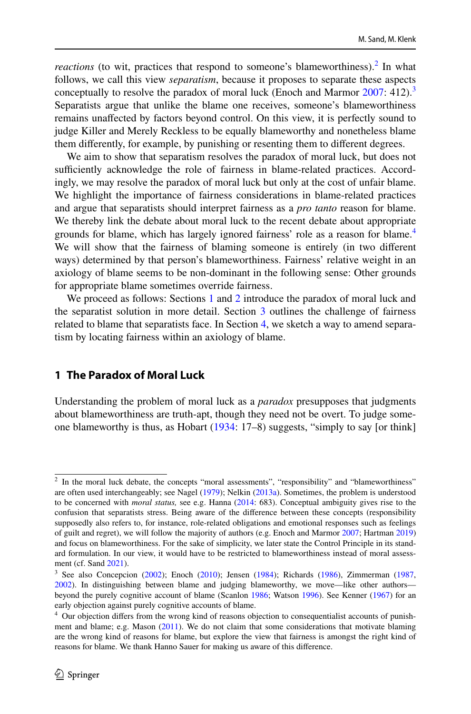*reactions* (to wit, practices that respond to someone's blameworthiness).<sup>[2](#page-1-0)</sup> In what follows, we call this view *separatism*, because it proposes to separate these aspects conceptually to resolve the paradox of moral luck (Enoch and Marmor  $2007: 412$ ).<sup>[3](#page-1-1)</sup> Separatists argue that unlike the blame one receives, someone's blameworthiness remains unafected by factors beyond control. On this view, it is perfectly sound to judge Killer and Merely Reckless to be equally blameworthy and nonetheless blame them diferently, for example, by punishing or resenting them to diferent degrees.

We aim to show that separatism resolves the paradox of moral luck, but does not sufficiently acknowledge the role of fairness in blame-related practices. Accordingly, we may resolve the paradox of moral luck but only at the cost of unfair blame. We highlight the importance of fairness considerations in blame-related practices and argue that separatists should interpret fairness as a *pro tanto* reason for blame. We thereby link the debate about moral luck to the recent debate about appropriate grounds for blame, which has largely ignored fairness' role as a reason for blame.<sup>[4](#page-1-2)</sup> We will show that the fairness of blaming someone is entirely (in two diferent ways) determined by that person's blameworthiness. Fairness' relative weight in an axiology of blame seems to be non-dominant in the following sense: Other grounds for appropriate blame sometimes override fairness.

We proceed as follows: Sections [1](#page-3-0) and [2](#page-5-0) introduce the paradox of moral luck and the separatist solution in more detail. Section [3](#page-8-0) outlines the challenge of fairness related to blame that separatists face. In Section [4,](#page-10-0) we sketch a way to amend separatism by locating fairness within an axiology of blame.

## **1 The Paradox of Moral Luck**

Understanding the problem of moral luck as a *paradox* presupposes that judgments about blameworthiness are truth-apt, though they need not be overt. To judge someone blameworthy is thus, as Hobart [\(1934](#page-15-4): 17–8) suggests, "simply to say [or think]

<span id="page-1-0"></span><sup>&</sup>lt;sup>2</sup> In the moral luck debate, the concepts "moral assessments", "responsibility" and "blameworthiness" are often used interchangeably; see Nagel [\(1979](#page-15-0)); Nelkin ([2013a](#page-15-9)). Sometimes, the problem is understood to be concerned with *moral status,* see e.g. Hanna [\(2014](#page-15-10): 683). Conceptual ambiguity gives rise to the confusion that separatists stress. Being aware of the diference between these concepts (responsibility supposedly also refers to, for instance, role-related obligations and emotional responses such as feelings of guilt and regret), we will follow the majority of authors (e.g. Enoch and Marmor [2007](#page-15-1); Hartman [2019\)](#page-15-3) and focus on blameworthiness. For the sake of simplicity, we later state the Control Principle in its standard formulation. In our view, it would have to be restricted to blameworthiness instead of moral assessment (cf. Sand [2021\)](#page-16-8).

<span id="page-1-1"></span><sup>&</sup>lt;sup>3</sup> See also Concepcion [\(2002](#page-15-6)); Enoch ([2010\)](#page-15-2); Jensen ([1984\)](#page-15-7); Richards [\(1986](#page-16-4)), Zimmerman [\(1987](#page-16-5), [2002](#page-16-3)). In distinguishing between blame and judging blameworthy, we move—like other authors beyond the purely cognitive account of blame (Scanlon [1986](#page-16-6); Watson [1996\)](#page-16-7). See Kenner ([1967\)](#page-15-8) for an early objection against purely cognitive accounts of blame.

<span id="page-1-2"></span><sup>&</sup>lt;sup>4</sup> Our objection differs from the wrong kind of reasons objection to consequentialist accounts of punishment and blame; e.g. Mason ([2011\)](#page-15-5). We do not claim that some considerations that motivate blaming are the wrong kind of reasons for blame, but explore the view that fairness is amongst the right kind of reasons for blame. We thank Hanno Sauer for making us aware of this diference.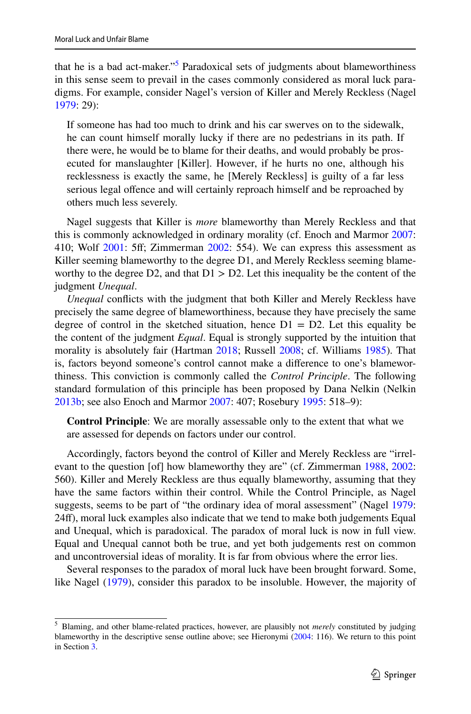that he is a bad act-maker."<sup>5</sup> Paradoxical sets of judgments about blameworthiness in this sense seem to prevail in the cases commonly considered as moral luck paradigms. For example, consider Nagel's version of Killer and Merely Reckless (Nagel [1979](#page-15-0): 29):

If someone has had too much to drink and his car swerves on to the sidewalk, he can count himself morally lucky if there are no pedestrians in its path. If there were, he would be to blame for their deaths, and would probably be prosecuted for manslaughter [Killer]. However, if he hurts no one, although his recklessness is exactly the same, he [Merely Reckless] is guilty of a far less serious legal offence and will certainly reproach himself and be reproached by others much less severely.

Nagel suggests that Killer is *more* blameworthy than Merely Reckless and that this is commonly acknowledged in ordinary morality (cf. Enoch and Marmor [2007:](#page-15-1) 410; Wolf [2001](#page-16-9): 5f; Zimmerman [2002:](#page-16-3) 554). We can express this assessment as Killer seeming blameworthy to the degree D1, and Merely Reckless seeming blameworthy to the degree D2, and that  $D1 > D2$ . Let this inequality be the content of the judgment *Unequal*.

*Unequal* conficts with the judgment that both Killer and Merely Reckless have precisely the same degree of blameworthiness, because they have precisely the same degree of control in the sketched situation, hence  $D1 = D2$ . Let this equality be the content of the judgment *Equal*. Equal is strongly supported by the intuition that morality is absolutely fair (Hartman [2018;](#page-15-11) Russell [2008;](#page-16-10) cf. Williams [1985\)](#page-16-11). That is, factors beyond someone's control cannot make a diference to one's blameworthiness. This conviction is commonly called the *Control Principle*. The following standard formulation of this principle has been proposed by Dana Nelkin (Nelkin [2013b](#page-15-12); see also Enoch and Marmor [2007](#page-15-1): 407; Rosebury [1995:](#page-16-12) 518–9):

**Control Principle**: We are morally assessable only to the extent that what we are assessed for depends on factors under our control.

Accordingly, factors beyond the control of Killer and Merely Reckless are "irrel-evant to the question [of] how blameworthy they are" (cf. Zimmerman [1988](#page-16-2), [2002:](#page-16-3) 560). Killer and Merely Reckless are thus equally blameworthy, assuming that they have the same factors within their control. While the Control Principle, as Nagel suggests, seems to be part of "the ordinary idea of moral assessment" (Nagel [1979:](#page-15-0) 24f), moral luck examples also indicate that we tend to make both judgements Equal and Unequal, which is paradoxical. The paradox of moral luck is now in full view. Equal and Unequal cannot both be true, and yet both judgements rest on common and uncontroversial ideas of morality. It is far from obvious where the error lies.

Several responses to the paradox of moral luck have been brought forward. Some, like Nagel [\(1979](#page-15-0)), consider this paradox to be insoluble. However, the majority of

<span id="page-2-0"></span><sup>5</sup> Blaming, and other blame-related practices, however, are plausibly not *merely* constituted by judging blameworthy in the descriptive sense outline above; see Hieronymi [\(2004](#page-15-13): 116). We return to this point in Section [3](#page-8-0).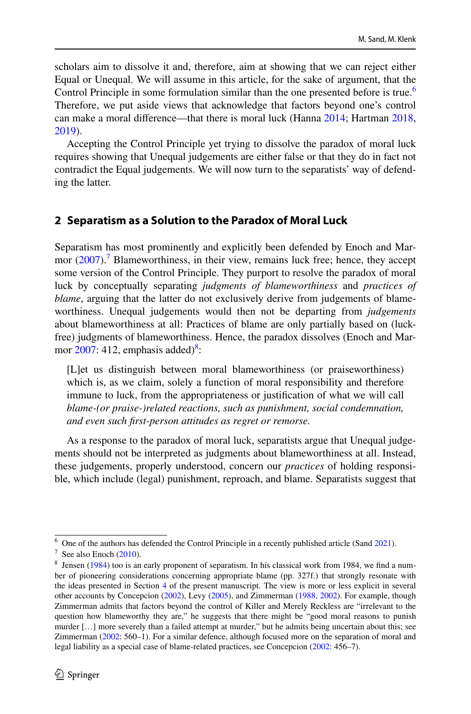scholars aim to dissolve it and, therefore, aim at showing that we can reject either Equal or Unequal. We will assume in this article, for the sake of argument, that the Control Principle in some formulation similar than the one presented before is true.<sup>[6](#page-3-1)</sup> Therefore, we put aside views that acknowledge that factors beyond one's control can make a moral diference—that there is moral luck (Hanna [2014](#page-15-10); Hartman [2018,](#page-15-11) [2019](#page-15-3)).

Accepting the Control Principle yet trying to dissolve the paradox of moral luck requires showing that Unequal judgements are either false or that they do in fact not contradict the Equal judgements. We will now turn to the separatists' way of defending the latter.

## <span id="page-3-0"></span>**2 Separatism as a Solution to the Paradox of Moral Luck**

Separatism has most prominently and explicitly been defended by Enoch and Marmor  $(2007)$  $(2007)$ .<sup>7</sup> Blameworthiness, in their view, remains luck free; hence, they accept some version of the Control Principle. They purport to resolve the paradox of moral luck by conceptually separating *judgments of blameworthiness* and *practices of blame*, arguing that the latter do not exclusively derive from judgements of blameworthiness. Unequal judgements would then not be departing from *judgements* about blameworthiness at all: Practices of blame are only partially based on (luckfree) judgments of blameworthiness. Hence, the paradox dissolves (Enoch and Marmor  $2007$ : 412, emphasis added)<sup>[8](#page-3-3)</sup>:

[L]et us distinguish between moral blameworthiness (or praiseworthiness) which is, as we claim, solely a function of moral responsibility and therefore immune to luck, from the appropriateness or justifcation of what we will call *blame-(or praise-)related reactions, such as punishment, social condemnation, and even such frst-person attitudes as regret or remorse.*

As a response to the paradox of moral luck, separatists argue that Unequal judgements should not be interpreted as judgments about blameworthiness at all. Instead, these judgements, properly understood, concern our *practices* of holding responsible, which include (legal) punishment, reproach, and blame. Separatists suggest that

<span id="page-3-1"></span> $6\degree$  One of the authors has defended the Control Principle in a recently published article (Sand [2021\)](#page-16-8).

<span id="page-3-2"></span> $7$  See also Enoch [\(2010](#page-15-2)).

<span id="page-3-3"></span><sup>8</sup> Jensen ([1984\)](#page-15-7) too is an early proponent of separatism. In his classical work from 1984, we fnd a number of pioneering considerations concerning appropriate blame (pp. 327f.) that strongly resonate with the ideas presented in Section [4](#page-10-0) of the present manuscript. The view is more or less explicit in several other accounts by Concepcion [\(2002](#page-15-6)), Levy [\(2005](#page-15-14)), and Zimmerman ([1988,](#page-16-2) [2002\)](#page-16-3). For example, though Zimmerman admits that factors beyond the control of Killer and Merely Reckless are "irrelevant to the question how blameworthy they are," he suggests that there might be "good moral reasons to punish murder […] more severely than a failed attempt at murder," but he admits being uncertain about this; see Zimmerman ([2002:](#page-16-3) 560–1). For a similar defence, although focused more on the separation of moral and legal liability as a special case of blame-related practices, see Concepcion ([2002:](#page-15-6) 456–7).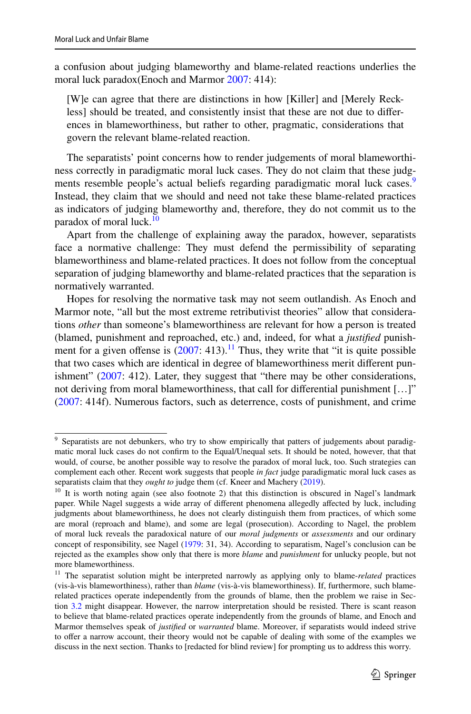a confusion about judging blameworthy and blame-related reactions underlies the moral luck paradox(Enoch and Marmor [2007:](#page-15-1) 414):

[W]e can agree that there are distinctions in how [Killer] and [Merely Reckless] should be treated, and consistently insist that these are not due to diferences in blameworthiness, but rather to other, pragmatic, considerations that govern the relevant blame-related reaction.

The separatists' point concerns how to render judgements of moral blameworthiness correctly in paradigmatic moral luck cases. They do not claim that these judg-ments resemble people's actual beliefs regarding paradigmatic moral luck cases.<sup>[9](#page-4-0)</sup> Instead, they claim that we should and need not take these blame-related practices as indicators of judging blameworthy and, therefore, they do not commit us to the paradox of moral luck.<sup>[10](#page-4-1)</sup>

Apart from the challenge of explaining away the paradox, however, separatists face a normative challenge: They must defend the permissibility of separating blameworthiness and blame-related practices. It does not follow from the conceptual separation of judging blameworthy and blame-related practices that the separation is normatively warranted.

Hopes for resolving the normative task may not seem outlandish. As Enoch and Marmor note, "all but the most extreme retributivist theories" allow that considerations *other* than someone's blameworthiness are relevant for how a person is treated (blamed, punishment and reproached, etc.) and, indeed, for what a *justifed* punishment for a given offense is  $(2007: 413).$  $(2007: 413).$  $(2007: 413).$ <sup>11</sup> Thus, they write that "it is quite possible that two cases which are identical in degree of blameworthiness merit diferent punishment" ([2007:](#page-15-1) 412). Later, they suggest that "there may be other considerations, not deriving from moral blameworthiness, that call for diferential punishment […]" [\(2007](#page-15-1): 414f). Numerous factors, such as deterrence, costs of punishment, and crime

<span id="page-4-0"></span><sup>&</sup>lt;sup>9</sup> Separatists are not debunkers, who try to show empirically that patters of judgements about paradigmatic moral luck cases do not confrm to the Equal/Unequal sets. It should be noted, however, that that would, of course, be another possible way to resolve the paradox of moral luck, too. Such strategies can complement each other. Recent work suggests that people *in fact* judge paradigmatic moral luck cases as separatists claim that they *ought to* judge them (cf. Kneer and Machery ([2019\)](#page-15-15).

<span id="page-4-1"></span><sup>&</sup>lt;sup>10</sup> It is worth noting again (see also footnote 2) that this distinction is obscured in Nagel's landmark paper. While Nagel suggests a wide array of diferent phenomena allegedly afected by luck, including judgments about blameworthiness, he does not clearly distinguish them from practices, of which some are moral (reproach and blame), and some are legal (prosecution). According to Nagel, the problem of moral luck reveals the paradoxical nature of our *moral judgments* or *assessments* and our ordinary concept of responsibility, see Nagel ([1979:](#page-15-0) 31, 34). According to separatism, Nagel's conclusion can be rejected as the examples show only that there is more *blame* and *punishment* for unlucky people, but not more blameworthiness.

<span id="page-4-2"></span><sup>&</sup>lt;sup>11</sup> The separatist solution might be interpreted narrowly as applying only to blame-*related* practices (vis-à-vis blameworthiness), rather than *blame* (vis-à-vis blameworthiness). If, furthermore, such blamerelated practices operate independently from the grounds of blame, then the problem we raise in Sec-tion [3.2](#page-14-0) might disappear. However, the narrow interpretation should be resisted. There is scant reason to believe that blame-related practices operate independently from the grounds of blame, and Enoch and Marmor themselves speak of *justifed* or *warranted* blame. Moreover, if separatists would indeed strive to offer a narrow account, their theory would not be capable of dealing with some of the examples we discuss in the next section. Thanks to [redacted for blind review] for prompting us to address this worry.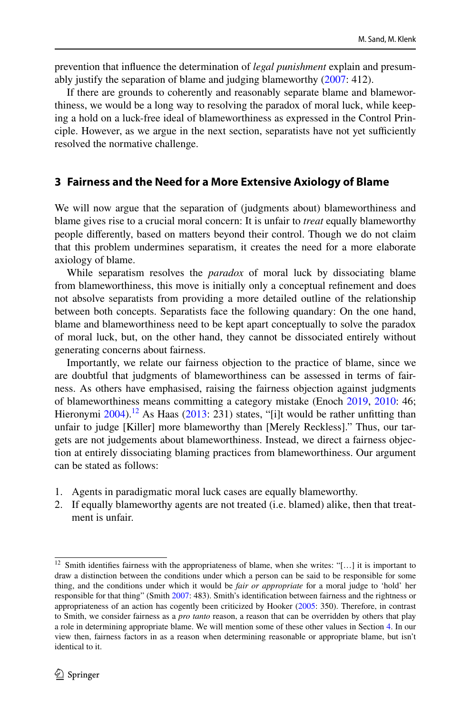prevention that infuence the determination of *legal punishment* explain and presumably justify the separation of blame and judging blameworthy ([2007:](#page-15-1) 412).

If there are grounds to coherently and reasonably separate blame and blameworthiness, we would be a long way to resolving the paradox of moral luck, while keeping a hold on a luck-free ideal of blameworthiness as expressed in the Control Principle. However, as we argue in the next section, separatists have not yet sufficiently resolved the normative challenge.

### <span id="page-5-0"></span>**3 Fairness and the Need for a More Extensive Axiology of Blame**

We will now argue that the separation of (judgments about) blameworthiness and blame gives rise to a crucial moral concern: It is unfair to *treat* equally blameworthy people diferently, based on matters beyond their control. Though we do not claim that this problem undermines separatism, it creates the need for a more elaborate axiology of blame.

While separatism resolves the *paradox* of moral luck by dissociating blame from blameworthiness, this move is initially only a conceptual refnement and does not absolve separatists from providing a more detailed outline of the relationship between both concepts. Separatists face the following quandary: On the one hand, blame and blameworthiness need to be kept apart conceptually to solve the paradox of moral luck, but, on the other hand, they cannot be dissociated entirely without generating concerns about fairness.

Importantly, we relate our fairness objection to the practice of blame, since we are doubtful that judgments of blameworthiness can be assessed in terms of fairness. As others have emphasised, raising the fairness objection against judgments of blameworthiness means committing a category mistake (Enoch [2019,](#page-15-16) [2010:](#page-15-2) 46; Hieronymi  $2004$ .<sup>12</sup> As Haas [\(2013](#page-15-17): 231) states, "[i]t would be rather unfitting than unfair to judge [Killer] more blameworthy than [Merely Reckless]." Thus, our targets are not judgements about blameworthiness. Instead, we direct a fairness objection at entirely dissociating blaming practices from blameworthiness. Our argument can be stated as follows:

- 1. Agents in paradigmatic moral luck cases are equally blameworthy.
- 2. If equally blameworthy agents are not treated (i.e. blamed) alike, then that treatment is unfair.

<span id="page-5-1"></span><sup>&</sup>lt;sup>12</sup> Smith identifies fairness with the appropriateness of blame, when she writes: "[...] it is important to draw a distinction between the conditions under which a person can be said to be responsible for some thing, and the conditions under which it would be *fair or appropriate* for a moral judge to 'hold' her responsible for that thing" (Smith [2007:](#page-16-13) 483). Smith's identifcation between fairness and the rightness or appropriateness of an action has cogently been criticized by Hooker [\(2005](#page-15-18): 350). Therefore, in contrast to Smith, we consider fairness as a *pro tanto* reason, a reason that can be overridden by others that play a role in determining appropriate blame. We will mention some of these other values in Section [4.](#page-10-0) In our view then, fairness factors in as a reason when determining reasonable or appropriate blame, but isn't identical to it.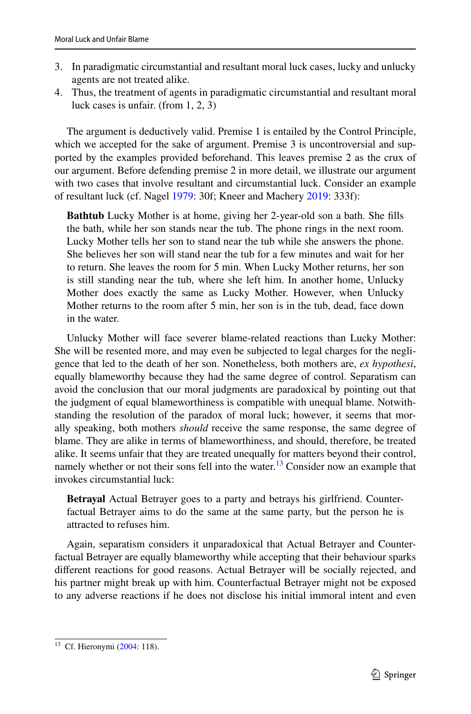- 3. In paradigmatic circumstantial and resultant moral luck cases, lucky and unlucky agents are not treated alike.
- 4. Thus, the treatment of agents in paradigmatic circumstantial and resultant moral luck cases is unfair. (from 1, 2, 3)

The argument is deductively valid. Premise 1 is entailed by the Control Principle, which we accepted for the sake of argument. Premise 3 is uncontroversial and supported by the examples provided beforehand. This leaves premise 2 as the crux of our argument. Before defending premise 2 in more detail, we illustrate our argument with two cases that involve resultant and circumstantial luck. Consider an example of resultant luck (cf. Nagel [1979:](#page-15-0) 30f; Kneer and Machery [2019](#page-15-15): 333f):

**Bathtub** Lucky Mother is at home, giving her 2-year-old son a bath. She flls the bath, while her son stands near the tub. The phone rings in the next room. Lucky Mother tells her son to stand near the tub while she answers the phone. She believes her son will stand near the tub for a few minutes and wait for her to return. She leaves the room for 5 min. When Lucky Mother returns, her son is still standing near the tub, where she left him. In another home, Unlucky Mother does exactly the same as Lucky Mother. However, when Unlucky Mother returns to the room after 5 min, her son is in the tub, dead, face down in the water.

Unlucky Mother will face severer blame-related reactions than Lucky Mother: She will be resented more, and may even be subjected to legal charges for the negligence that led to the death of her son. Nonetheless, both mothers are, *ex hypothesi*, equally blameworthy because they had the same degree of control. Separatism can avoid the conclusion that our moral judgments are paradoxical by pointing out that the judgment of equal blameworthiness is compatible with unequal blame. Notwithstanding the resolution of the paradox of moral luck; however, it seems that morally speaking, both mothers *should* receive the same response, the same degree of blame. They are alike in terms of blameworthiness, and should, therefore, be treated alike. It seems unfair that they are treated unequally for matters beyond their control, namely whether or not their sons fell into the water.<sup>[13](#page-6-0)</sup> Consider now an example that invokes circumstantial luck:

**Betrayal** Actual Betrayer goes to a party and betrays his girlfriend. Counterfactual Betrayer aims to do the same at the same party, but the person he is attracted to refuses him.

Again, separatism considers it unparadoxical that Actual Betrayer and Counterfactual Betrayer are equally blameworthy while accepting that their behaviour sparks diferent reactions for good reasons. Actual Betrayer will be socially rejected, and his partner might break up with him. Counterfactual Betrayer might not be exposed to any adverse reactions if he does not disclose his initial immoral intent and even

<span id="page-6-0"></span><sup>&</sup>lt;sup>13</sup> Cf. Hieronymi ([2004:](#page-15-13) 118).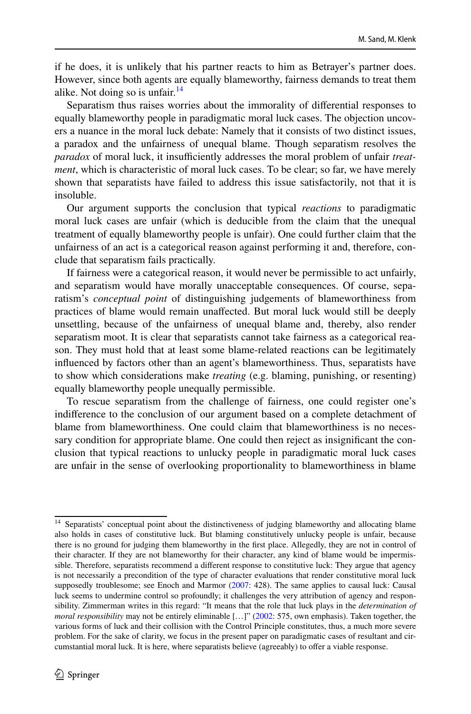if he does, it is unlikely that his partner reacts to him as Betrayer's partner does. However, since both agents are equally blameworthy, fairness demands to treat them alike. Not doing so is unfair.  $14$ 

Separatism thus raises worries about the immorality of diferential responses to equally blameworthy people in paradigmatic moral luck cases. The objection uncovers a nuance in the moral luck debate: Namely that it consists of two distinct issues, a paradox and the unfairness of unequal blame. Though separatism resolves the paradox of moral luck, it insufficiently addresses the moral problem of unfair *treatment*, which is characteristic of moral luck cases. To be clear; so far, we have merely shown that separatists have failed to address this issue satisfactorily, not that it is insoluble.

Our argument supports the conclusion that typical *reactions* to paradigmatic moral luck cases are unfair (which is deducible from the claim that the unequal treatment of equally blameworthy people is unfair). One could further claim that the unfairness of an act is a categorical reason against performing it and, therefore, conclude that separatism fails practically.

If fairness were a categorical reason, it would never be permissible to act unfairly, and separatism would have morally unacceptable consequences. Of course, separatism's *conceptual point* of distinguishing judgements of blameworthiness from practices of blame would remain unafected. But moral luck would still be deeply unsettling, because of the unfairness of unequal blame and, thereby, also render separatism moot. It is clear that separatists cannot take fairness as a categorical reason. They must hold that at least some blame-related reactions can be legitimately infuenced by factors other than an agent's blameworthiness. Thus, separatists have to show which considerations make *treating* (e.g. blaming, punishing, or resenting) equally blameworthy people unequally permissible.

To rescue separatism from the challenge of fairness, one could register one's indiference to the conclusion of our argument based on a complete detachment of blame from blameworthiness. One could claim that blameworthiness is no necessary condition for appropriate blame. One could then reject as insignifcant the conclusion that typical reactions to unlucky people in paradigmatic moral luck cases are unfair in the sense of overlooking proportionality to blameworthiness in blame

<span id="page-7-0"></span><sup>&</sup>lt;sup>14</sup> Separatists' conceptual point about the distinctiveness of judging blameworthy and allocating blame also holds in cases of constitutive luck. But blaming constitutively unlucky people is unfair, because there is no ground for judging them blameworthy in the frst place. Allegedly, they are not in control of their character. If they are not blameworthy for their character, any kind of blame would be impermissible. Therefore, separatists recommend a diferent response to constitutive luck: They argue that agency is not necessarily a precondition of the type of character evaluations that render constitutive moral luck supposedly troublesome; see Enoch and Marmor [\(2007](#page-15-1): 428). The same applies to causal luck: Causal luck seems to undermine control so profoundly; it challenges the very attribution of agency and responsibility. Zimmerman writes in this regard: "It means that the role that luck plays in the *determination of moral responsibility* may not be entirely eliminable […]" ([2002:](#page-16-3) 575, own emphasis). Taken together, the various forms of luck and their collision with the Control Principle constitutes, thus, a much more severe problem. For the sake of clarity, we focus in the present paper on paradigmatic cases of resultant and circumstantial moral luck. It is here, where separatists believe (agreeably) to ofer a viable response.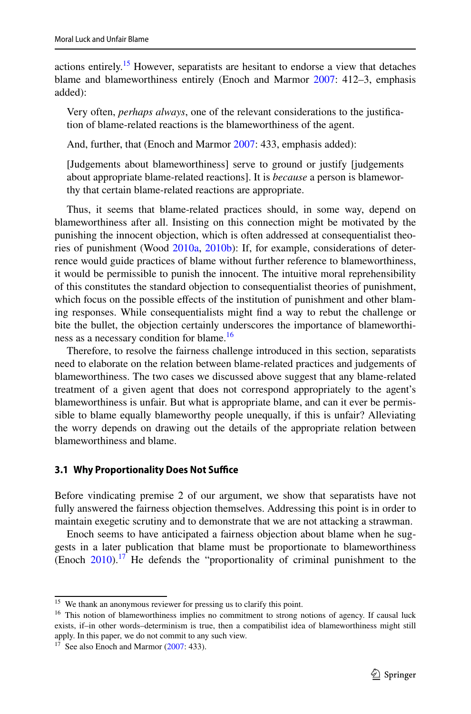actions entirely.[15](#page-8-1) However, separatists are hesitant to endorse a view that detaches blame and blameworthiness entirely (Enoch and Marmor [2007:](#page-15-1) 412–3, emphasis added):

Very often, *perhaps always*, one of the relevant considerations to the justifcation of blame-related reactions is the blameworthiness of the agent.

And, further, that (Enoch and Marmor [2007](#page-15-1): 433, emphasis added):

[Judgements about blameworthiness] serve to ground or justify [judgements about appropriate blame-related reactions]. It is *because* a person is blameworthy that certain blame-related reactions are appropriate.

Thus, it seems that blame-related practices should, in some way, depend on blameworthiness after all. Insisting on this connection might be motivated by the punishing the innocent objection, which is often addressed at consequentialist theories of punishment (Wood [2010a,](#page-16-14) [2010b](#page-16-15)): If, for example, considerations of deterrence would guide practices of blame without further reference to blameworthiness, it would be permissible to punish the innocent. The intuitive moral reprehensibility of this constitutes the standard objection to consequentialist theories of punishment, which focus on the possible effects of the institution of punishment and other blaming responses. While consequentialists might fnd a way to rebut the challenge or bite the bullet, the objection certainly underscores the importance of blameworthi-ness as a necessary condition for blame.<sup>[16](#page-8-2)</sup>

Therefore, to resolve the fairness challenge introduced in this section, separatists need to elaborate on the relation between blame-related practices and judgements of blameworthiness. The two cases we discussed above suggest that any blame-related treatment of a given agent that does not correspond appropriately to the agent's blameworthiness is unfair. But what is appropriate blame, and can it ever be permissible to blame equally blameworthy people unequally, if this is unfair? Alleviating the worry depends on drawing out the details of the appropriate relation between blameworthiness and blame.

#### <span id="page-8-0"></span>**3.1 Why Proportionality Does Not Suffice**

Before vindicating premise 2 of our argument, we show that separatists have not fully answered the fairness objection themselves. Addressing this point is in order to maintain exegetic scrutiny and to demonstrate that we are not attacking a strawman.

Enoch seems to have anticipated a fairness objection about blame when he suggests in a later publication that blame must be proportionate to blameworthiness (Enoch  $2010$ ).<sup>17</sup> He defends the "proportionality of criminal punishment to the

<span id="page-8-1"></span><sup>&</sup>lt;sup>15</sup> We thank an anonymous reviewer for pressing us to clarify this point.

<span id="page-8-2"></span><sup>&</sup>lt;sup>16</sup> This notion of blameworthiness implies no commitment to strong notions of agency. If causal luck exists, if–in other words–determinism is true, then a compatibilist idea of blameworthiness might still apply. In this paper, we do not commit to any such view.

<span id="page-8-3"></span><sup>&</sup>lt;sup>17</sup> See also Enoch and Marmor  $(2007: 433)$  $(2007: 433)$  $(2007: 433)$ .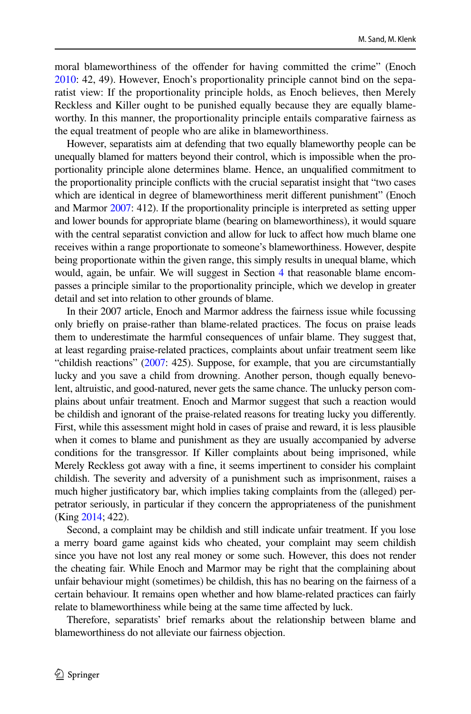moral blameworthiness of the ofender for having committed the crime" (Enoch [2010](#page-15-2): 42, 49). However, Enoch's proportionality principle cannot bind on the separatist view: If the proportionality principle holds, as Enoch believes, then Merely Reckless and Killer ought to be punished equally because they are equally blameworthy. In this manner, the proportionality principle entails comparative fairness as the equal treatment of people who are alike in blameworthiness.

However, separatists aim at defending that two equally blameworthy people can be unequally blamed for matters beyond their control, which is impossible when the proportionality principle alone determines blame. Hence, an unqualifed commitment to the proportionality principle conficts with the crucial separatist insight that "two cases which are identical in degree of blameworthiness merit diferent punishment" (Enoch and Marmor [2007](#page-15-1): 412). If the proportionality principle is interpreted as setting upper and lower bounds for appropriate blame (bearing on blameworthiness), it would square with the central separatist conviction and allow for luck to affect how much blame one receives within a range proportionate to someone's blameworthiness. However, despite being proportionate within the given range, this simply results in unequal blame, which would, again, be unfair. We will suggest in Section [4](#page-10-0) that reasonable blame encompasses a principle similar to the proportionality principle, which we develop in greater detail and set into relation to other grounds of blame.

In their 2007 article, Enoch and Marmor address the fairness issue while focussing only briefy on praise-rather than blame-related practices. The focus on praise leads them to underestimate the harmful consequences of unfair blame. They suggest that, at least regarding praise-related practices, complaints about unfair treatment seem like "childish reactions" [\(2007](#page-15-1): 425). Suppose, for example, that you are circumstantially lucky and you save a child from drowning. Another person, though equally benevolent, altruistic, and good-natured, never gets the same chance. The unlucky person complains about unfair treatment. Enoch and Marmor suggest that such a reaction would be childish and ignorant of the praise-related reasons for treating lucky you diferently. First, while this assessment might hold in cases of praise and reward, it is less plausible when it comes to blame and punishment as they are usually accompanied by adverse conditions for the transgressor. If Killer complaints about being imprisoned, while Merely Reckless got away with a fne, it seems impertinent to consider his complaint childish. The severity and adversity of a punishment such as imprisonment, raises a much higher justifcatory bar, which implies taking complaints from the (alleged) perpetrator seriously, in particular if they concern the appropriateness of the punishment (King [2014](#page-15-19); 422).

Second, a complaint may be childish and still indicate unfair treatment. If you lose a merry board game against kids who cheated, your complaint may seem childish since you have not lost any real money or some such. However, this does not render the cheating fair. While Enoch and Marmor may be right that the complaining about unfair behaviour might (sometimes) be childish, this has no bearing on the fairness of a certain behaviour. It remains open whether and how blame-related practices can fairly relate to blameworthiness while being at the same time afected by luck.

Therefore, separatists' brief remarks about the relationship between blame and blameworthiness do not alleviate our fairness objection.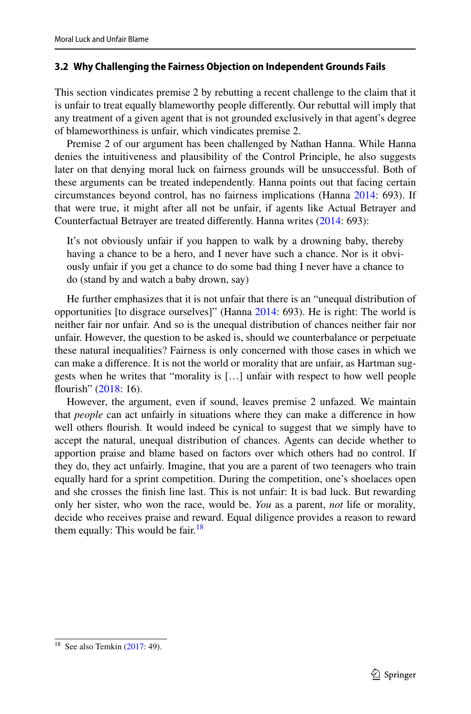### <span id="page-10-0"></span>**3.2 Why Challenging the Fairness Objection on Independent Grounds Fails**

This section vindicates premise 2 by rebutting a recent challenge to the claim that it is unfair to treat equally blameworthy people diferently. Our rebuttal will imply that any treatment of a given agent that is not grounded exclusively in that agent's degree of blameworthiness is unfair, which vindicates premise 2.

Premise 2 of our argument has been challenged by Nathan Hanna. While Hanna denies the intuitiveness and plausibility of the Control Principle, he also suggests later on that denying moral luck on fairness grounds will be unsuccessful. Both of these arguments can be treated independently. Hanna points out that facing certain circumstances beyond control, has no fairness implications (Hanna [2014:](#page-15-10) 693). If that were true, it might after all not be unfair, if agents like Actual Betrayer and Counterfactual Betrayer are treated diferently. Hanna writes [\(2014](#page-15-10): 693):

It's not obviously unfair if you happen to walk by a drowning baby, thereby having a chance to be a hero, and I never have such a chance. Nor is it obviously unfair if you get a chance to do some bad thing I never have a chance to do (stand by and watch a baby drown, say)

He further emphasizes that it is not unfair that there is an "unequal distribution of opportunities [to disgrace ourselves]" (Hanna [2014](#page-15-10): 693). He is right: The world is neither fair nor unfair. And so is the unequal distribution of chances neither fair nor unfair. However, the question to be asked is, should we counterbalance or perpetuate these natural inequalities? Fairness is only concerned with those cases in which we can make a diference. It is not the world or morality that are unfair, as Hartman suggests when he writes that "morality is […] unfair with respect to how well people flourish" [\(2018](#page-15-11): 16).

However, the argument, even if sound, leaves premise 2 unfazed. We maintain that *people* can act unfairly in situations where they can make a diference in how well others fourish. It would indeed be cynical to suggest that we simply have to accept the natural, unequal distribution of chances. Agents can decide whether to apportion praise and blame based on factors over which others had no control. If they do, they act unfairly. Imagine, that you are a parent of two teenagers who train equally hard for a sprint competition. During the competition, one's shoelaces open and she crosses the fnish line last. This is not unfair: It is bad luck. But rewarding only her sister, who won the race, would be. *You* as a parent, *not* life or morality*,* decide who receives praise and reward. Equal diligence provides a reason to reward them equally: This would be fair. $18$ 

<span id="page-10-1"></span> $18$  See also Temkin [\(2017](#page-16-16): 49).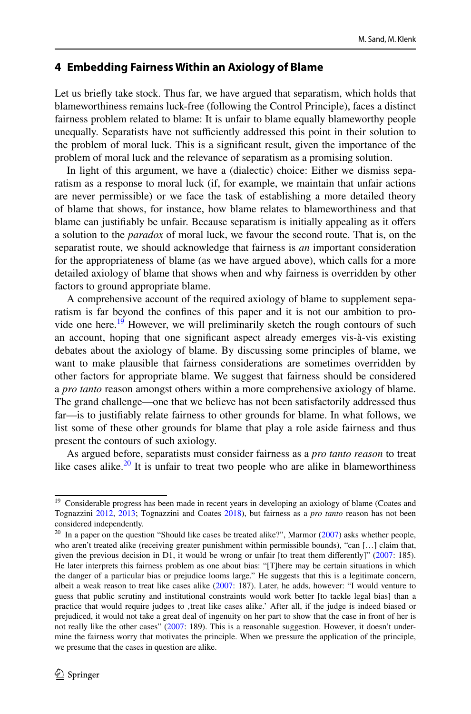### **4 Embedding Fairness Within an Axiology of Blame**

Let us briefy take stock. Thus far, we have argued that separatism, which holds that blameworthiness remains luck-free (following the Control Principle), faces a distinct fairness problem related to blame: It is unfair to blame equally blameworthy people unequally. Separatists have not sufficiently addressed this point in their solution to the problem of moral luck. This is a signifcant result, given the importance of the problem of moral luck and the relevance of separatism as a promising solution.

In light of this argument, we have a (dialectic) choice: Either we dismiss separatism as a response to moral luck (if, for example, we maintain that unfair actions are never permissible) or we face the task of establishing a more detailed theory of blame that shows, for instance, how blame relates to blameworthiness and that blame can justifably be unfair. Because separatism is initially appealing as it ofers a solution to the *paradox* of moral luck, we favour the second route. That is, on the separatist route, we should acknowledge that fairness is *an* important consideration for the appropriateness of blame (as we have argued above), which calls for a more detailed axiology of blame that shows when and why fairness is overridden by other factors to ground appropriate blame.

A comprehensive account of the required axiology of blame to supplement separatism is far beyond the confnes of this paper and it is not our ambition to provide one here.<sup>19</sup> However, we will preliminarily sketch the rough contours of such an account, hoping that one signifcant aspect already emerges vis-à-vis existing debates about the axiology of blame. By discussing some principles of blame, we want to make plausible that fairness considerations are sometimes overridden by other factors for appropriate blame. We suggest that fairness should be considered a *pro tanto* reason amongst others within a more comprehensive axiology of blame. The grand challenge—one that we believe has not been satisfactorily addressed thus far—is to justifably relate fairness to other grounds for blame. In what follows, we list some of these other grounds for blame that play a role aside fairness and thus present the contours of such axiology.

As argued before, separatists must consider fairness as a *pro tanto reason* to treat like cases alike.<sup>[20](#page-11-1)</sup> It is unfair to treat two people who are alike in blameworthiness

<span id="page-11-0"></span><sup>&</sup>lt;sup>19</sup> Considerable progress has been made in recent years in developing an axiology of blame (Coates and Tognazzini [2012,](#page-15-20) [2013;](#page-15-21) Tognazzini and Coates [2018](#page-16-17)), but fairness as a *pro tanto* reason has not been considered independently.

<span id="page-11-1"></span> $20$  In a paper on the question "Should like cases be treated alike?", Marmor ( $2007$ ) asks whether people, who aren't treated alike (receiving greater punishment within permissible bounds), "can […] claim that, given the previous decision in D1, it would be wrong or unfair [to treat them differently]" ([2007:](#page-15-22) 185). He later interprets this fairness problem as one about bias: "[T]here may be certain situations in which the danger of a particular bias or prejudice looms large." He suggests that this is a legitimate concern, albeit a weak reason to treat like cases alike [\(2007](#page-15-22): 187). Later, he adds, however: "I would venture to guess that public scrutiny and institutional constraints would work better [to tackle legal bias] than a practice that would require judges to , treat like cases alike.' After all, if the judge is indeed biased or prejudiced, it would not take a great deal of ingenuity on her part to show that the case in front of her is not really like the other cases" ([2007:](#page-15-22) 189). This is a reasonable suggestion. However, it doesn't undermine the fairness worry that motivates the principle. When we pressure the application of the principle, we presume that the cases in question are alike.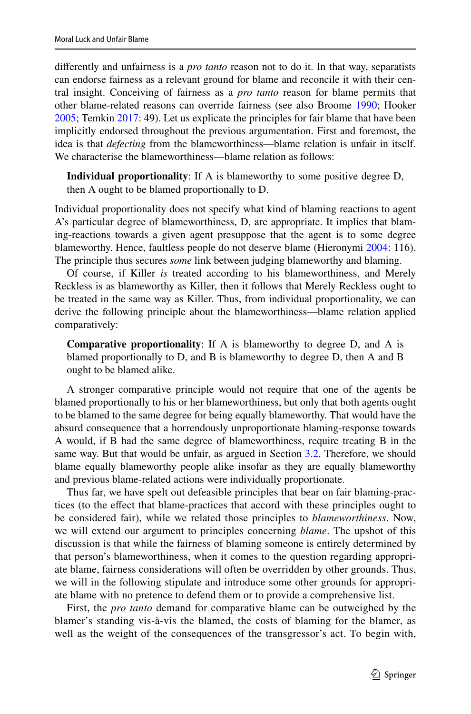diferently and unfairness is a *pro tanto* reason not to do it. In that way, separatists can endorse fairness as a relevant ground for blame and reconcile it with their central insight. Conceiving of fairness as a *pro tanto* reason for blame permits that other blame-related reasons can override fairness (see also Broome [1990](#page-15-23); Hooker [2005](#page-15-18); Temkin [2017](#page-16-16): 49). Let us explicate the principles for fair blame that have been implicitly endorsed throughout the previous argumentation. First and foremost, the idea is that *defecting* from the blameworthiness—blame relation is unfair in itself. We characterise the blameworthiness—blame relation as follows:

**Individual proportionality**: If A is blameworthy to some positive degree D, then A ought to be blamed proportionally to D.

Individual proportionality does not specify what kind of blaming reactions to agent A's particular degree of blameworthiness, D, are appropriate. It implies that blaming-reactions towards a given agent presuppose that the agent is to some degree blameworthy. Hence, faultless people do not deserve blame (Hieronymi [2004:](#page-15-13) 116). The principle thus secures *some* link between judging blameworthy and blaming.

Of course, if Killer *is* treated according to his blameworthiness, and Merely Reckless is as blameworthy as Killer, then it follows that Merely Reckless ought to be treated in the same way as Killer. Thus, from individual proportionality, we can derive the following principle about the blameworthiness—blame relation applied comparatively:

**Comparative proportionality**: If A is blameworthy to degree D, and A is blamed proportionally to D, and B is blameworthy to degree D, then A and B ought to be blamed alike.

A stronger comparative principle would not require that one of the agents be blamed proportionally to his or her blameworthiness, but only that both agents ought to be blamed to the same degree for being equally blameworthy. That would have the absurd consequence that a horrendously unproportionate blaming-response towards A would, if B had the same degree of blameworthiness, require treating B in the same way. But that would be unfair, as argued in Section [3.2](#page-14-0). Therefore, we should blame equally blameworthy people alike insofar as they are equally blameworthy and previous blame-related actions were individually proportionate.

Thus far, we have spelt out defeasible principles that bear on fair blaming-practices (to the efect that blame-practices that accord with these principles ought to be considered fair), while we related those principles to *blameworthiness*. Now, we will extend our argument to principles concerning *blame*. The upshot of this discussion is that while the fairness of blaming someone is entirely determined by that person's blameworthiness, when it comes to the question regarding appropriate blame, fairness considerations will often be overridden by other grounds. Thus, we will in the following stipulate and introduce some other grounds for appropriate blame with no pretence to defend them or to provide a comprehensive list.

First, the *pro tanto* demand for comparative blame can be outweighed by the blamer's standing vis-à-vis the blamed, the costs of blaming for the blamer, as well as the weight of the consequences of the transgressor's act. To begin with,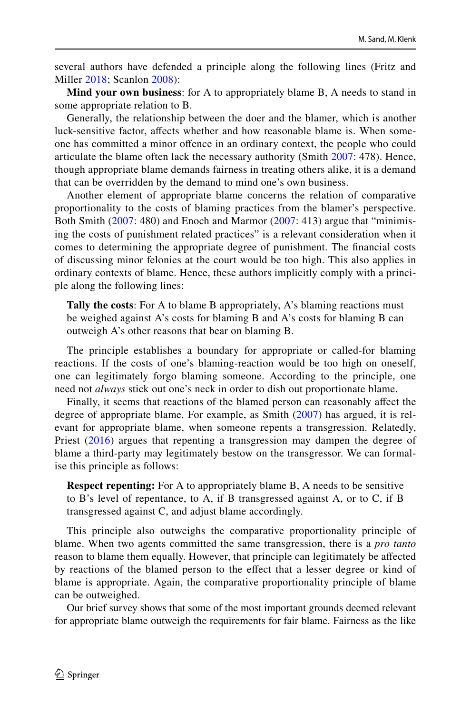several authors have defended a principle along the following lines (Fritz and Miller [2018](#page-15-24); Scanlon [2008](#page-16-18)):

**Mind your own business**: for A to appropriately blame B, A needs to stand in some appropriate relation to B.

Generally, the relationship between the doer and the blamer, which is another luck-sensitive factor, afects whether and how reasonable blame is. When someone has committed a minor ofence in an ordinary context, the people who could articulate the blame often lack the necessary authority (Smith [2007:](#page-16-13) 478). Hence, though appropriate blame demands fairness in treating others alike, it is a demand that can be overridden by the demand to mind one's own business.

Another element of appropriate blame concerns the relation of comparative proportionality to the costs of blaming practices from the blamer's perspective. Both Smith [\(2007:](#page-16-13) 480) and Enoch and Marmor [\(2007](#page-15-1): 413) argue that "minimising the costs of punishment related practices" is a relevant consideration when it comes to determining the appropriate degree of punishment. The fnancial costs of discussing minor felonies at the court would be too high. This also applies in ordinary contexts of blame. Hence, these authors implicitly comply with a principle along the following lines:

**Tally the costs:** For A to blame B appropriately, A's blaming reactions must be weighed against A's costs for blaming B and A's costs for blaming B can outweigh A's other reasons that bear on blaming B.

The principle establishes a boundary for appropriate or called-for blaming reactions. If the costs of one's blaming-reaction would be too high on oneself, one can legitimately forgo blaming someone. According to the principle, one need not *always* stick out one's neck in order to dish out proportionate blame.

Finally, it seems that reactions of the blamed person can reasonably afect the degree of appropriate blame. For example, as Smith ([2007](#page-16-13)) has argued, it is relevant for appropriate blame, when someone repents a transgression. Relatedly, Priest [\(2016](#page-16-19)) argues that repenting a transgression may dampen the degree of blame a third-party may legitimately bestow on the transgressor. We can formalise this principle as follows:

**Respect repenting:** For A to appropriately blame B, A needs to be sensitive to B's level of repentance, to A, if B transgressed against A, or to C, if B transgressed against C, and adjust blame accordingly.

This principle also outweighs the comparative proportionality principle of blame. When two agents committed the same transgression, there is a *pro tanto* reason to blame them equally. However, that principle can legitimately be afected by reactions of the blamed person to the efect that a lesser degree or kind of blame is appropriate. Again, the comparative proportionality principle of blame can be outweighed.

Our brief survey shows that some of the most important grounds deemed relevant for appropriate blame outweigh the requirements for fair blame. Fairness as the like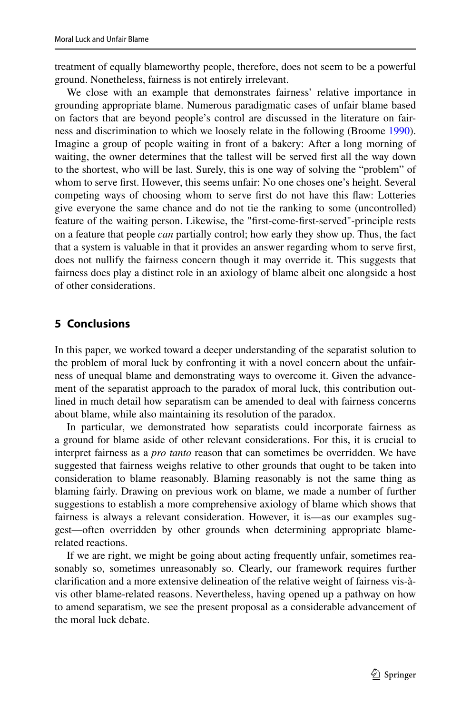treatment of equally blameworthy people, therefore, does not seem to be a powerful ground. Nonetheless, fairness is not entirely irrelevant.

We close with an example that demonstrates fairness' relative importance in grounding appropriate blame. Numerous paradigmatic cases of unfair blame based on factors that are beyond people's control are discussed in the literature on fairness and discrimination to which we loosely relate in the following (Broome [1990\)](#page-15-23). Imagine a group of people waiting in front of a bakery: After a long morning of waiting, the owner determines that the tallest will be served frst all the way down to the shortest, who will be last. Surely, this is one way of solving the "problem" of whom to serve frst. However, this seems unfair: No one choses one's height. Several competing ways of choosing whom to serve frst do not have this faw: Lotteries give everyone the same chance and do not tie the ranking to some (uncontrolled) feature of the waiting person. Likewise, the "frst-come-frst-served"-principle rests on a feature that people *can* partially control; how early they show up. Thus, the fact that a system is valuable in that it provides an answer regarding whom to serve frst, does not nullify the fairness concern though it may override it. This suggests that fairness does play a distinct role in an axiology of blame albeit one alongside a host of other considerations.

## <span id="page-14-0"></span>**5 Conclusions**

In this paper, we worked toward a deeper understanding of the separatist solution to the problem of moral luck by confronting it with a novel concern about the unfairness of unequal blame and demonstrating ways to overcome it. Given the advancement of the separatist approach to the paradox of moral luck, this contribution outlined in much detail how separatism can be amended to deal with fairness concerns about blame, while also maintaining its resolution of the paradox.

In particular, we demonstrated how separatists could incorporate fairness as a ground for blame aside of other relevant considerations. For this, it is crucial to interpret fairness as a *pro tanto* reason that can sometimes be overridden. We have suggested that fairness weighs relative to other grounds that ought to be taken into consideration to blame reasonably. Blaming reasonably is not the same thing as blaming fairly. Drawing on previous work on blame, we made a number of further suggestions to establish a more comprehensive axiology of blame which shows that fairness is always a relevant consideration. However, it is—as our examples suggest—often overridden by other grounds when determining appropriate blamerelated reactions.

If we are right, we might be going about acting frequently unfair, sometimes reasonably so, sometimes unreasonably so. Clearly, our framework requires further clarifcation and a more extensive delineation of the relative weight of fairness vis-àvis other blame-related reasons. Nevertheless, having opened up a pathway on how to amend separatism, we see the present proposal as a considerable advancement of the moral luck debate.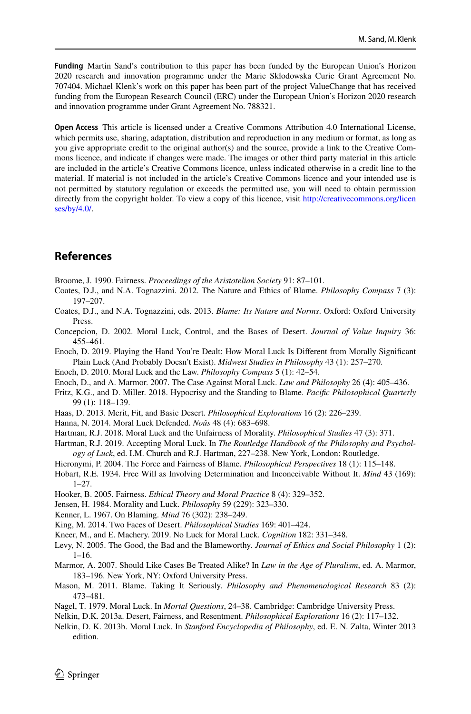**Funding** Martin Sand's contribution to this paper has been funded by the European Union's Horizon 2020 research and innovation programme under the Marie Skłodowska Curie Grant Agreement No. 707404. Michael Klenk's work on this paper has been part of the project ValueChange that has received funding from the European Research Council (ERC) under the European Union's Horizon 2020 research and innovation programme under Grant Agreement No. 788321.

**Open Access** This article is licensed under a Creative Commons Attribution 4.0 International License, which permits use, sharing, adaptation, distribution and reproduction in any medium or format, as long as you give appropriate credit to the original author(s) and the source, provide a link to the Creative Commons licence, and indicate if changes were made. The images or other third party material in this article are included in the article's Creative Commons licence, unless indicated otherwise in a credit line to the material. If material is not included in the article's Creative Commons licence and your intended use is not permitted by statutory regulation or exceeds the permitted use, you will need to obtain permission directly from the copyright holder. To view a copy of this licence, visit [http://creativecommons.org/licen](http://creativecommons.org/licenses/by/4.0/) [ses/by/4.0/](http://creativecommons.org/licenses/by/4.0/).

## **References**

<span id="page-15-23"></span>Broome, J. 1990. Fairness. *Proceedings of the Aristotelian Society* 91: 87–101.

- <span id="page-15-20"></span>Coates, D.J., and N.A. Tognazzini. 2012. The Nature and Ethics of Blame. *Philosophy Compass* 7 (3): 197–207.
- <span id="page-15-21"></span>Coates, D.J., and N.A. Tognazzini, eds. 2013. *Blame: Its Nature and Norms*. Oxford: Oxford University Press.
- <span id="page-15-6"></span>Concepcion, D. 2002. Moral Luck, Control, and the Bases of Desert. *Journal of Value Inquiry* 36: 455–461.
- <span id="page-15-16"></span>Enoch, D. 2019. Playing the Hand You're Dealt: How Moral Luck Is Diferent from Morally Signifcant Plain Luck (And Probably Doesn't Exist). *Midwest Studies in Philosophy* 43 (1): 257–270.
- <span id="page-15-2"></span>Enoch, D. 2010. Moral Luck and the Law. *Philosophy Compass* 5 (1): 42–54.
- <span id="page-15-1"></span>Enoch, D., and A. Marmor. 2007. The Case Against Moral Luck. *Law and Philosophy* 26 (4): 405–436.
- <span id="page-15-24"></span>Fritz, K.G., and D. Miller. 2018. Hypocrisy and the Standing to Blame. *Pacifc Philosophical Quarterly* 99 (1): 118–139.
- <span id="page-15-17"></span>Haas, D. 2013. Merit, Fit, and Basic Desert. *Philosophical Explorations* 16 (2): 226–239.
- <span id="page-15-10"></span>Hanna, N. 2014. Moral Luck Defended. *Noûs* 48 (4): 683–698.
- <span id="page-15-11"></span>Hartman, R.J. 2018. Moral Luck and the Unfairness of Morality. *Philosophical Studies* 47 (3): 371.
- <span id="page-15-3"></span>Hartman, R.J. 2019. Accepting Moral Luck. In *The Routledge Handbook of the Philosophy and Psychology of Luck*, ed. I.M. Church and R.J. Hartman, 227–238. New York, London: Routledge.
- <span id="page-15-13"></span>Hieronymi, P. 2004. The Force and Fairness of Blame. *Philosophical Perspectives* 18 (1): 115–148.
- <span id="page-15-4"></span>Hobart, R.E. 1934. Free Will as Involving Determination and Inconceivable Without It. *Mind* 43 (169):  $1 - 27$
- <span id="page-15-18"></span>Hooker, B. 2005. Fairness. *Ethical Theory and Moral Practice* 8 (4): 329–352.
- <span id="page-15-7"></span>Jensen, H. 1984. Morality and Luck. *Philosophy* 59 (229): 323–330.
- <span id="page-15-8"></span>Kenner, L. 1967. On Blaming. *Mind* 76 (302): 238–249.
- <span id="page-15-19"></span>King, M. 2014. Two Faces of Desert. *Philosophical Studies* 169: 401–424.
- <span id="page-15-15"></span>Kneer, M., and E. Machery. 2019. No Luck for Moral Luck. *Cognition* 182: 331–348.
- <span id="page-15-14"></span>Levy, N. 2005. The Good, the Bad and the Blameworthy. *Journal of Ethics and Social Philosophy* 1 (2): 1–16.
- <span id="page-15-22"></span>Marmor, A. 2007. Should Like Cases Be Treated Alike? In *Law in the Age of Pluralism*, ed. A. Marmor, 183–196. New York, NY: Oxford University Press.
- <span id="page-15-5"></span>Mason, M. 2011. Blame. Taking It Seriously. *Philosophy and Phenomenological Research* 83 (2): 473–481.
- <span id="page-15-0"></span>Nagel, T. 1979. Moral Luck. In *Mortal Questions*, 24–38. Cambridge: Cambridge University Press.
- <span id="page-15-9"></span>Nelkin, D.K. 2013a. Desert, Fairness, and Resentment. *Philosophical Explorations* 16 (2): 117–132.
- <span id="page-15-12"></span>Nelkin, D. K. 2013b. Moral Luck. In *Stanford Encyclopedia of Philosophy*, ed. E. N. Zalta, Winter 2013 edition.